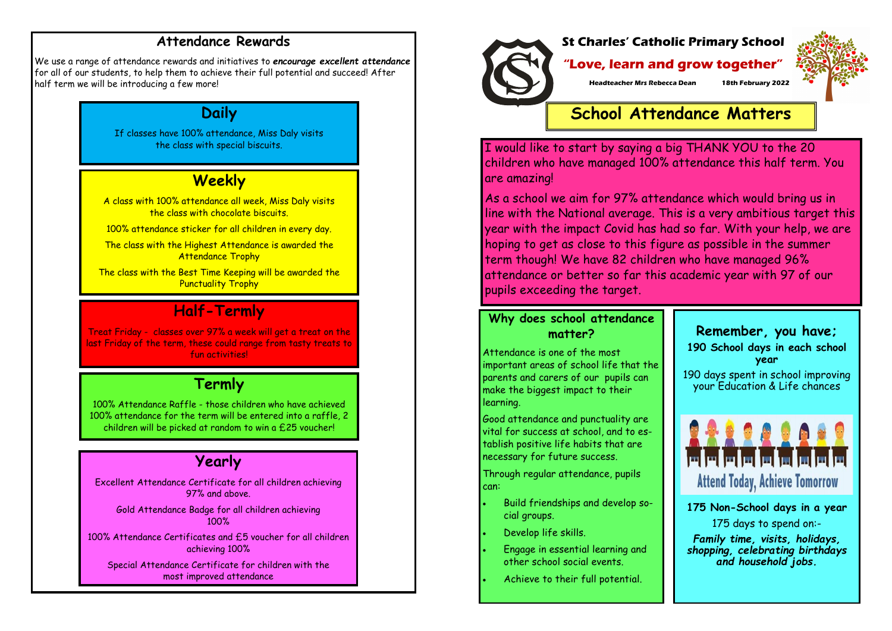#### **Attendance Rewards**

We use a range of attendance rewards and initiatives to *encourage excellent attendance*  for all of our students, to help them to achieve their full potential and succeed! After half term we will be introducing a few more!

## **Daily**

If classes have 100% attendance, Miss Daly visits the class with special biscuits.

# **Weekly**

A class with 100% attendance all week, Miss Daly visits the class with chocolate biscuits.

100% attendance sticker for all children in every day.

The class with the Highest Attendance is awarded the Attendance Trophy

Gold Attendance Badge for all children achieving  $100%$ 

The class with the Best Time Keeping will be awarded the Punctuality Trophy

## **Half-Termly**

Treat Friday - classes over 97% a week will get a treat on the last Friday of the term, these could range from tasty treats to fun activities!

### **Termly**

100% Attendance Raffle - those children who have achieved 100% attendance for the term will be entered into a raffle, 2 children will be picked at random to win a £25 voucher!

# **Yearly**

As a school we aim for 97% attendance which would bring us in line with the National average. This is a very ambitious target this year with the impact Covid has had so far. With your help, we are hoping to get as close to this figure as possible in the summer term though! We have 82 children who have managed 96% attendance or better so far this academic year with 97 of our pupils exceeding the target.

Excellent Attendance Certificate for all children achieving 97% and above.

100% Attendance Certificates and £5 voucher for all children achieving 100%

Special Attendance Certificate for children with the most improved attendance





#### **"Love, learn and grow together"**

**Headteacher Mrs Rebecca Dean 18th February 2022**

**School Attendance Matters**

I would like to start by saying a big THANK YOU to the 20 children who have managed 100% attendance this half term. You are amazing!

### **Why does school attendance matter?**

Attendance is one of the most important areas of school life that the parents and carers of our pupils can make the biggest impact to their learning.

Good attendance and punctuality are vital for success at school, and to establish positive life habits that are necessary for future success.

Through regular attendance, pupils can:

- Build friendships and develop social groups.
- Develop life skills.
- Engage in essential learning and other school social events.
- Achieve to their full potential.



**Attend Today, Achieve Tomorrow** 

**175 Non-School days in a year** 175 days to spend on:-

*Family time, visits, holidays, shopping, celebrating birthdays and household jobs.*